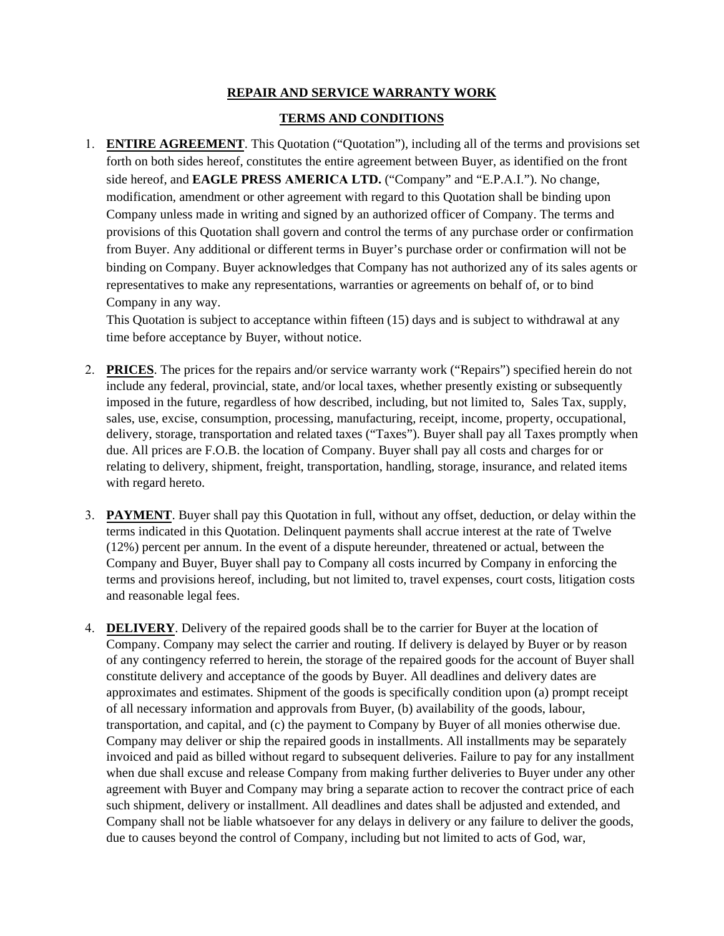## **REPAIR AND SERVICE WARRANTY WORK**

## **TERMS AND CONDITIONS**

1. **ENTIRE AGREEMENT**. This Quotation ("Quotation"), including all of the terms and provisions set forth on both sides hereof, constitutes the entire agreement between Buyer, as identified on the front side hereof, and **EAGLE PRESS AMERICA LTD.** ("Company" and "E.P.A.I."). No change, modification, amendment or other agreement with regard to this Quotation shall be binding upon Company unless made in writing and signed by an authorized officer of Company. The terms and provisions of this Quotation shall govern and control the terms of any purchase order or confirmation from Buyer. Any additional or different terms in Buyer's purchase order or confirmation will not be binding on Company. Buyer acknowledges that Company has not authorized any of its sales agents or representatives to make any representations, warranties or agreements on behalf of, or to bind Company in any way.

This Quotation is subject to acceptance within fifteen (15) days and is subject to withdrawal at any time before acceptance by Buyer, without notice.

- 2. **PRICES**. The prices for the repairs and/or service warranty work ("Repairs") specified herein do not include any federal, provincial, state, and/or local taxes, whether presently existing or subsequently imposed in the future, regardless of how described, including, but not limited to, Sales Tax, supply, sales, use, excise, consumption, processing, manufacturing, receipt, income, property, occupational, delivery, storage, transportation and related taxes ("Taxes"). Buyer shall pay all Taxes promptly when due. All prices are F.O.B. the location of Company. Buyer shall pay all costs and charges for or relating to delivery, shipment, freight, transportation, handling, storage, insurance, and related items with regard hereto.
- 3. **PAYMENT**. Buyer shall pay this Quotation in full, without any offset, deduction, or delay within the terms indicated in this Quotation. Delinquent payments shall accrue interest at the rate of Twelve (12%) percent per annum. In the event of a dispute hereunder, threatened or actual, between the Company and Buyer, Buyer shall pay to Company all costs incurred by Company in enforcing the terms and provisions hereof, including, but not limited to, travel expenses, court costs, litigation costs and reasonable legal fees.
- 4. **DELIVERY**. Delivery of the repaired goods shall be to the carrier for Buyer at the location of Company. Company may select the carrier and routing. If delivery is delayed by Buyer or by reason of any contingency referred to herein, the storage of the repaired goods for the account of Buyer shall constitute delivery and acceptance of the goods by Buyer. All deadlines and delivery dates are approximates and estimates. Shipment of the goods is specifically condition upon (a) prompt receipt of all necessary information and approvals from Buyer, (b) availability of the goods, labour, transportation, and capital, and (c) the payment to Company by Buyer of all monies otherwise due. Company may deliver or ship the repaired goods in installments. All installments may be separately invoiced and paid as billed without regard to subsequent deliveries. Failure to pay for any installment when due shall excuse and release Company from making further deliveries to Buyer under any other agreement with Buyer and Company may bring a separate action to recover the contract price of each such shipment, delivery or installment. All deadlines and dates shall be adjusted and extended, and Company shall not be liable whatsoever for any delays in delivery or any failure to deliver the goods, due to causes beyond the control of Company, including but not limited to acts of God, war,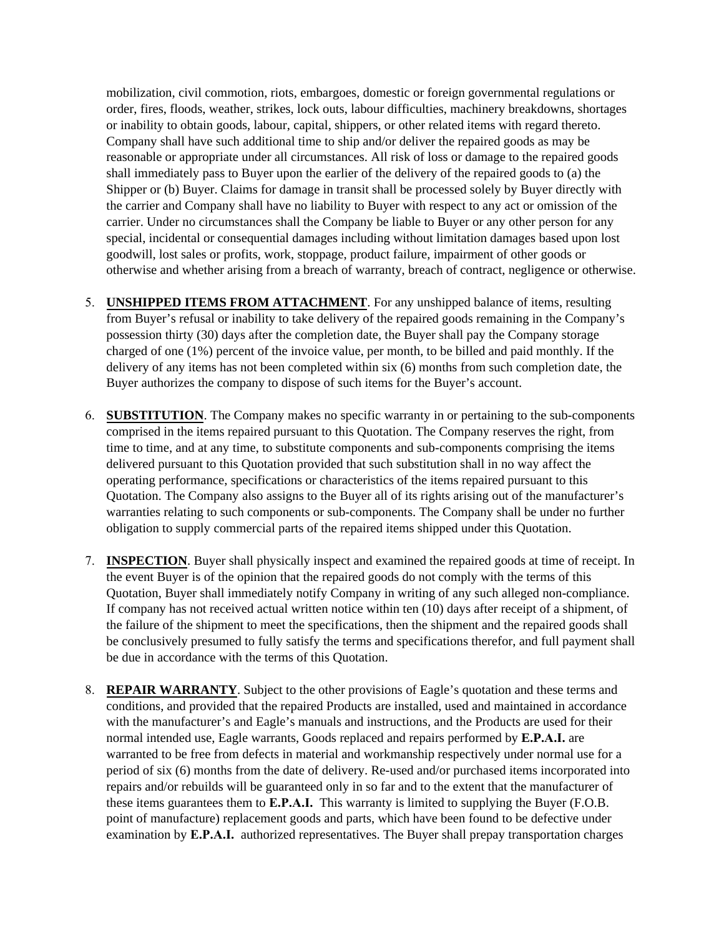mobilization, civil commotion, riots, embargoes, domestic or foreign governmental regulations or order, fires, floods, weather, strikes, lock outs, labour difficulties, machinery breakdowns, shortages or inability to obtain goods, labour, capital, shippers, or other related items with regard thereto. Company shall have such additional time to ship and/or deliver the repaired goods as may be reasonable or appropriate under all circumstances. All risk of loss or damage to the repaired goods shall immediately pass to Buyer upon the earlier of the delivery of the repaired goods to (a) the Shipper or (b) Buyer. Claims for damage in transit shall be processed solely by Buyer directly with the carrier and Company shall have no liability to Buyer with respect to any act or omission of the carrier. Under no circumstances shall the Company be liable to Buyer or any other person for any special, incidental or consequential damages including without limitation damages based upon lost goodwill, lost sales or profits, work, stoppage, product failure, impairment of other goods or otherwise and whether arising from a breach of warranty, breach of contract, negligence or otherwise.

- 5. **UNSHIPPED ITEMS FROM ATTACHMENT**. For any unshipped balance of items, resulting from Buyer's refusal or inability to take delivery of the repaired goods remaining in the Company's possession thirty (30) days after the completion date, the Buyer shall pay the Company storage charged of one (1%) percent of the invoice value, per month, to be billed and paid monthly. If the delivery of any items has not been completed within six (6) months from such completion date, the Buyer authorizes the company to dispose of such items for the Buyer's account.
- 6. **SUBSTITUTION**. The Company makes no specific warranty in or pertaining to the sub-components comprised in the items repaired pursuant to this Quotation. The Company reserves the right, from time to time, and at any time, to substitute components and sub-components comprising the items delivered pursuant to this Quotation provided that such substitution shall in no way affect the operating performance, specifications or characteristics of the items repaired pursuant to this Quotation. The Company also assigns to the Buyer all of its rights arising out of the manufacturer's warranties relating to such components or sub-components. The Company shall be under no further obligation to supply commercial parts of the repaired items shipped under this Quotation.
- 7. **INSPECTION**. Buyer shall physically inspect and examined the repaired goods at time of receipt. In the event Buyer is of the opinion that the repaired goods do not comply with the terms of this Quotation, Buyer shall immediately notify Company in writing of any such alleged non-compliance. If company has not received actual written notice within ten (10) days after receipt of a shipment, of the failure of the shipment to meet the specifications, then the shipment and the repaired goods shall be conclusively presumed to fully satisfy the terms and specifications therefor, and full payment shall be due in accordance with the terms of this Quotation.
- 8. **REPAIR WARRANTY**. Subject to the other provisions of Eagle's quotation and these terms and conditions, and provided that the repaired Products are installed, used and maintained in accordance with the manufacturer's and Eagle's manuals and instructions, and the Products are used for their normal intended use, Eagle warrants, Goods replaced and repairs performed by **E.P.A.I.** are warranted to be free from defects in material and workmanship respectively under normal use for a period of six (6) months from the date of delivery. Re-used and/or purchased items incorporated into repairs and/or rebuilds will be guaranteed only in so far and to the extent that the manufacturer of these items guarantees them to **E.P.A.I.** This warranty is limited to supplying the Buyer (F.O.B. point of manufacture) replacement goods and parts, which have been found to be defective under examination by **E.P.A.I.** authorized representatives. The Buyer shall prepay transportation charges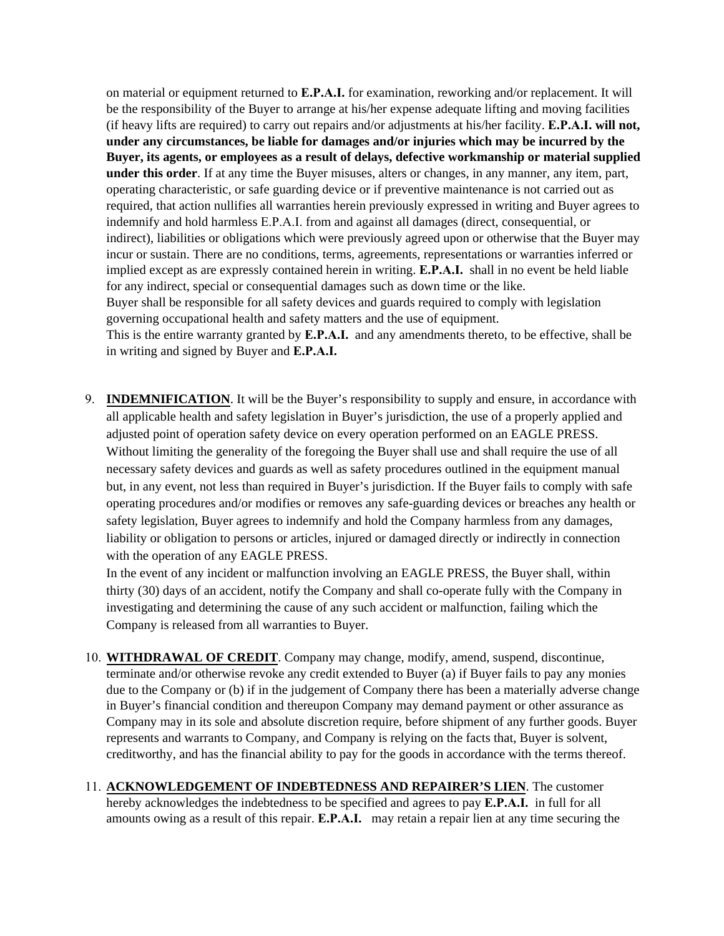on material or equipment returned to **E.P.A.I.** for examination, reworking and/or replacement. It will be the responsibility of the Buyer to arrange at his/her expense adequate lifting and moving facilities (if heavy lifts are required) to carry out repairs and/or adjustments at his/her facility. **E.P.A.I. will not, under any circumstances, be liable for damages and/or injuries which may be incurred by the Buyer, its agents, or employees as a result of delays, defective workmanship or material supplied under this order**. If at any time the Buyer misuses, alters or changes, in any manner, any item, part, operating characteristic, or safe guarding device or if preventive maintenance is not carried out as required, that action nullifies all warranties herein previously expressed in writing and Buyer agrees to indemnify and hold harmless E.P.A.I. from and against all damages (direct, consequential, or indirect), liabilities or obligations which were previously agreed upon or otherwise that the Buyer may incur or sustain. There are no conditions, terms, agreements, representations or warranties inferred or implied except as are expressly contained herein in writing. **E.P.A.I.** shall in no event be held liable for any indirect, special or consequential damages such as down time or the like. Buyer shall be responsible for all safety devices and guards required to comply with legislation governing occupational health and safety matters and the use of equipment.

This is the entire warranty granted by **E.P.A.I.** and any amendments thereto, to be effective, shall be in writing and signed by Buyer and **E.P.A.I.** 

9. **INDEMNIFICATION**. It will be the Buyer's responsibility to supply and ensure, in accordance with all applicable health and safety legislation in Buyer's jurisdiction, the use of a properly applied and adjusted point of operation safety device on every operation performed on an EAGLE PRESS. Without limiting the generality of the foregoing the Buyer shall use and shall require the use of all necessary safety devices and guards as well as safety procedures outlined in the equipment manual but, in any event, not less than required in Buyer's jurisdiction. If the Buyer fails to comply with safe operating procedures and/or modifies or removes any safe-guarding devices or breaches any health or safety legislation, Buyer agrees to indemnify and hold the Company harmless from any damages, liability or obligation to persons or articles, injured or damaged directly or indirectly in connection with the operation of any EAGLE PRESS.

In the event of any incident or malfunction involving an EAGLE PRESS, the Buyer shall, within thirty (30) days of an accident, notify the Company and shall co-operate fully with the Company in investigating and determining the cause of any such accident or malfunction, failing which the Company is released from all warranties to Buyer.

- 10. **WITHDRAWAL OF CREDIT**. Company may change, modify, amend, suspend, discontinue, terminate and/or otherwise revoke any credit extended to Buyer (a) if Buyer fails to pay any monies due to the Company or (b) if in the judgement of Company there has been a materially adverse change in Buyer's financial condition and thereupon Company may demand payment or other assurance as Company may in its sole and absolute discretion require, before shipment of any further goods. Buyer represents and warrants to Company, and Company is relying on the facts that, Buyer is solvent, creditworthy, and has the financial ability to pay for the goods in accordance with the terms thereof.
- 11. **ACKNOWLEDGEMENT OF INDEBTEDNESS AND REPAIRER'S LIEN**. The customer hereby acknowledges the indebtedness to be specified and agrees to pay **E.P.A.I.** in full for all amounts owing as a result of this repair. **E.P.A.I.** may retain a repair lien at any time securing the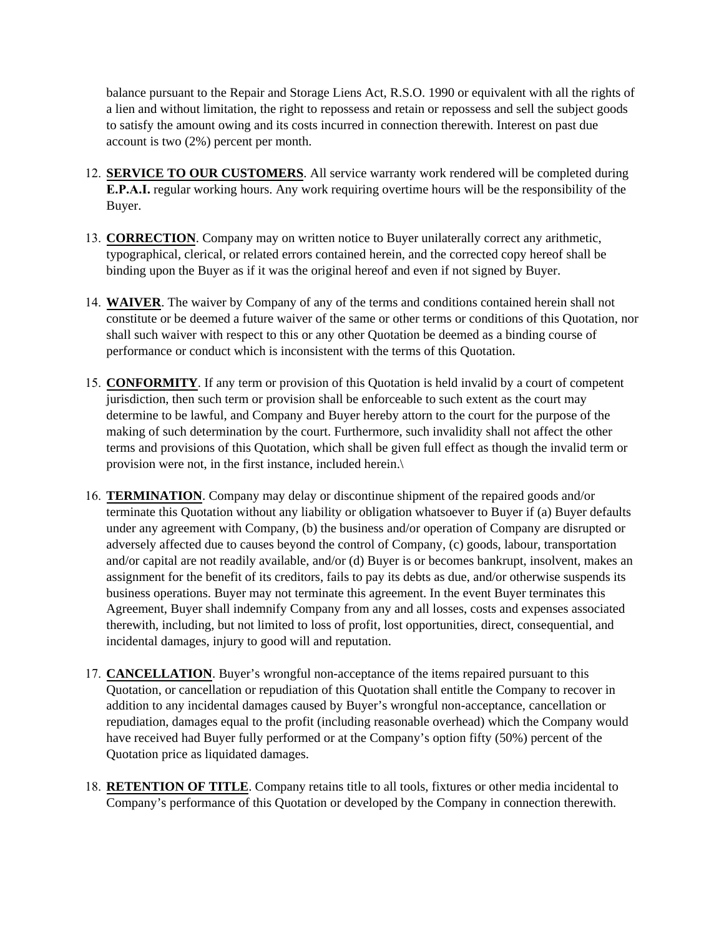balance pursuant to the Repair and Storage Liens Act, R.S.O. 1990 or equivalent with all the rights of a lien and without limitation, the right to repossess and retain or repossess and sell the subject goods to satisfy the amount owing and its costs incurred in connection therewith. Interest on past due account is two (2%) percent per month.

- 12. **SERVICE TO OUR CUSTOMERS**. All service warranty work rendered will be completed during **E.P.A.I.** regular working hours. Any work requiring overtime hours will be the responsibility of the Buyer.
- 13. **CORRECTION**. Company may on written notice to Buyer unilaterally correct any arithmetic, typographical, clerical, or related errors contained herein, and the corrected copy hereof shall be binding upon the Buyer as if it was the original hereof and even if not signed by Buyer.
- 14. **WAIVER**. The waiver by Company of any of the terms and conditions contained herein shall not constitute or be deemed a future waiver of the same or other terms or conditions of this Quotation, nor shall such waiver with respect to this or any other Quotation be deemed as a binding course of performance or conduct which is inconsistent with the terms of this Quotation.
- 15. **CONFORMITY**. If any term or provision of this Quotation is held invalid by a court of competent jurisdiction, then such term or provision shall be enforceable to such extent as the court may determine to be lawful, and Company and Buyer hereby attorn to the court for the purpose of the making of such determination by the court. Furthermore, such invalidity shall not affect the other terms and provisions of this Quotation, which shall be given full effect as though the invalid term or provision were not, in the first instance, included herein.\
- 16. **TERMINATION**. Company may delay or discontinue shipment of the repaired goods and/or terminate this Quotation without any liability or obligation whatsoever to Buyer if (a) Buyer defaults under any agreement with Company, (b) the business and/or operation of Company are disrupted or adversely affected due to causes beyond the control of Company, (c) goods, labour, transportation and/or capital are not readily available, and/or (d) Buyer is or becomes bankrupt, insolvent, makes an assignment for the benefit of its creditors, fails to pay its debts as due, and/or otherwise suspends its business operations. Buyer may not terminate this agreement. In the event Buyer terminates this Agreement, Buyer shall indemnify Company from any and all losses, costs and expenses associated therewith, including, but not limited to loss of profit, lost opportunities, direct, consequential, and incidental damages, injury to good will and reputation.
- 17. **CANCELLATION**. Buyer's wrongful non-acceptance of the items repaired pursuant to this Quotation, or cancellation or repudiation of this Quotation shall entitle the Company to recover in addition to any incidental damages caused by Buyer's wrongful non-acceptance, cancellation or repudiation, damages equal to the profit (including reasonable overhead) which the Company would have received had Buyer fully performed or at the Company's option fifty (50%) percent of the Quotation price as liquidated damages.
- 18. **RETENTION OF TITLE**. Company retains title to all tools, fixtures or other media incidental to Company's performance of this Quotation or developed by the Company in connection therewith.